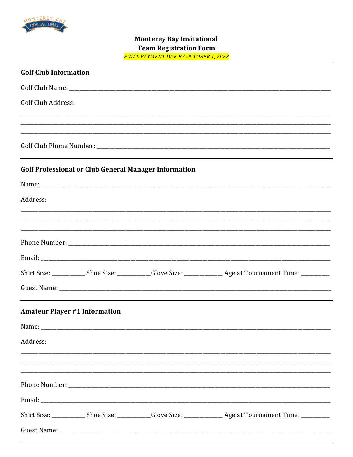

## **Monterey Bay Invitational Team Registration Form FINAL PAYMENT DUE BY OCTOBER 1, 2022**

| <b>Golf Club Information</b>                                                                                         |
|----------------------------------------------------------------------------------------------------------------------|
|                                                                                                                      |
| <b>Golf Club Address:</b>                                                                                            |
| <u> 1980 - Johann Barn, amerikan bandar basar basa dalam basa dan basa dan basa dalam basa dalam basa dalam basa</u> |
|                                                                                                                      |
| <b>Golf Professional or Club General Manager Information</b>                                                         |
|                                                                                                                      |
| Address:                                                                                                             |
|                                                                                                                      |
|                                                                                                                      |
|                                                                                                                      |
|                                                                                                                      |
|                                                                                                                      |
|                                                                                                                      |
| <b>Amateur Player #1 Information</b>                                                                                 |
|                                                                                                                      |
| Address:                                                                                                             |
|                                                                                                                      |
|                                                                                                                      |
|                                                                                                                      |
|                                                                                                                      |
|                                                                                                                      |
|                                                                                                                      |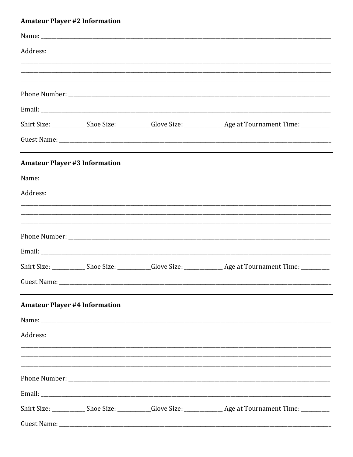# **Amateur Player #2 Information**

| Address: |                                      |                                                                                  |
|----------|--------------------------------------|----------------------------------------------------------------------------------|
|          |                                      |                                                                                  |
|          |                                      |                                                                                  |
|          |                                      |                                                                                  |
|          |                                      |                                                                                  |
|          |                                      |                                                                                  |
|          | <b>Amateur Player #3 Information</b> |                                                                                  |
|          |                                      |                                                                                  |
| Address: |                                      |                                                                                  |
|          |                                      | ,我们的人们就会在这里,我们的人们就会在这里,我们的人们就会在这里,我们的人们就会在这里,我们的人们就会在这里,我们的人们就会在这里,我们的人们就会在这里,我们 |
|          |                                      |                                                                                  |
|          |                                      |                                                                                  |
|          |                                      |                                                                                  |
|          |                                      |                                                                                  |
|          |                                      |                                                                                  |
|          | <b>Amateur Player #4 Information</b> |                                                                                  |
|          |                                      |                                                                                  |
| Address: |                                      |                                                                                  |
|          |                                      |                                                                                  |
|          |                                      | ,我们就会在这里的,我们就会在这里的人,我们就会在这里的人,我们就会在这里的人,我们就会在这里的人,我们就会在这里的人,我们就会在这里的人,我们就会在这里,我们 |
|          |                                      |                                                                                  |
|          |                                      |                                                                                  |
|          |                                      |                                                                                  |